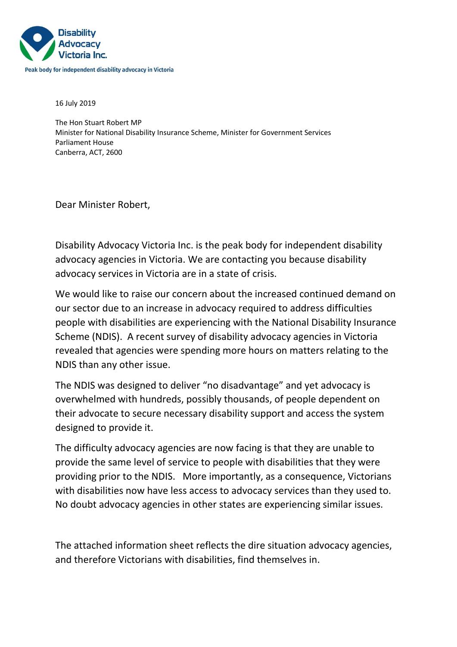

16 July 2019

The Hon Stuart Robert MP Minister for National Disability Insurance Scheme, Minister for Government Services Parliament House Canberra, ACT, 2600

Dear Minister Robert,

Disability Advocacy Victoria Inc. is the peak body for independent disability advocacy agencies in Victoria. We are contacting you because disability advocacy services in Victoria are in a state of crisis.

We would like to raise our concern about the increased continued demand on our sector due to an increase in advocacy required to address difficulties people with disabilities are experiencing with the National Disability Insurance Scheme (NDIS). A recent survey of disability advocacy agencies in Victoria revealed that agencies were spending more hours on matters relating to the NDIS than any other issue.

The NDIS was designed to deliver "no disadvantage" and yet advocacy is overwhelmed with hundreds, possibly thousands, of people dependent on their advocate to secure necessary disability support and access the system designed to provide it.

The difficulty advocacy agencies are now facing is that they are unable to provide the same level of service to people with disabilities that they were providing prior to the NDIS. More importantly, as a consequence, Victorians with disabilities now have less access to advocacy services than they used to. No doubt advocacy agencies in other states are experiencing similar issues.

The attached information sheet reflects the dire situation advocacy agencies, and therefore Victorians with disabilities, find themselves in.